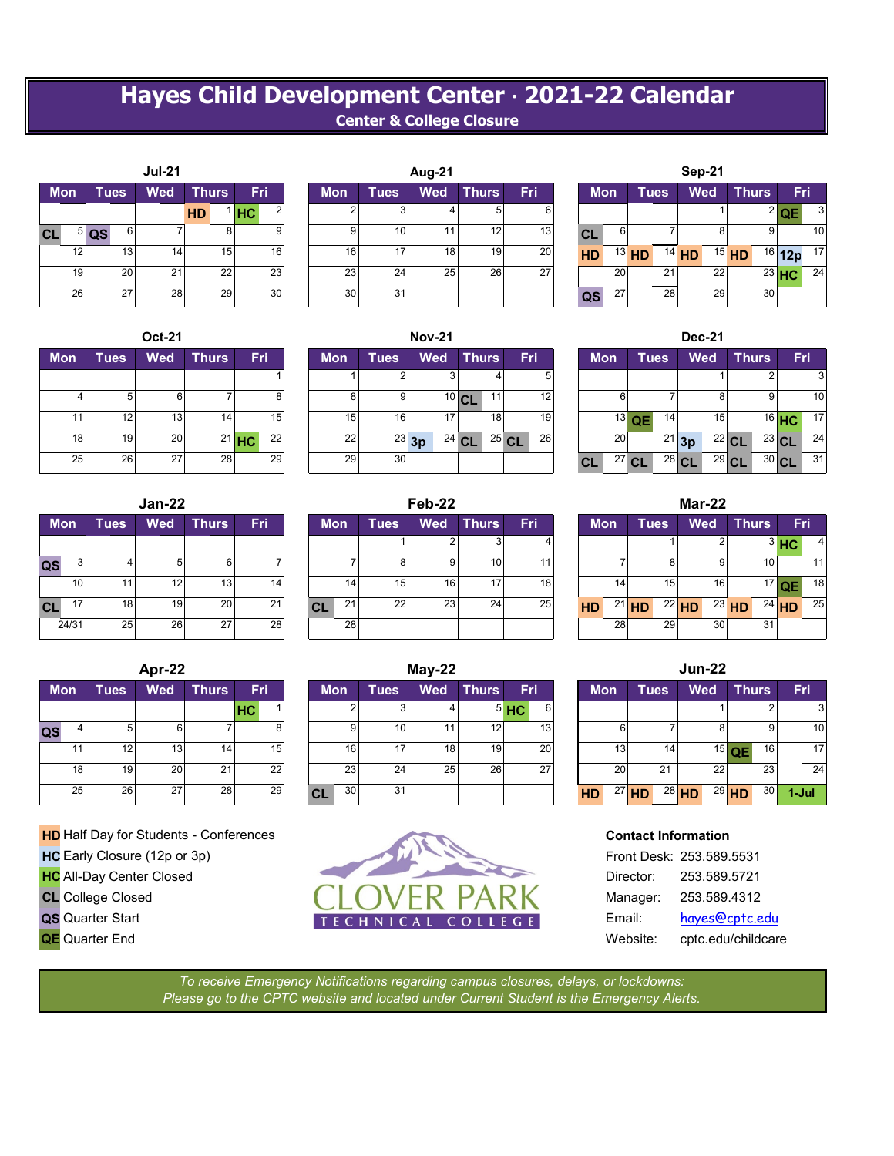## **Hayes Child Development Center · 2021-22 Calendar Center & College Closure**

|           |            |             |    | <b>Jul-21</b> |              |    |    |     |
|-----------|------------|-------------|----|---------------|--------------|----|----|-----|
|           | <b>Mon</b> | <b>Tues</b> |    | <b>Wed</b>    | <b>Thurs</b> |    |    | Fri |
|           |            |             |    |               | <b>HD</b>    |    | HC | 2   |
| <b>CL</b> | 5          | QS          | 6  | 7             |              | 8  |    | 9   |
|           | 12         |             | 13 | 14            |              | 15 |    | 16  |
|           | 19         |             | 20 | 21            |              | 22 |    | 23  |
|           | 26         |             | 27 | 28            |              | 29 |    | 30  |

|            |             | <b>Oct-21</b> |              |          |            |             |
|------------|-------------|---------------|--------------|----------|------------|-------------|
| <b>Mon</b> | <b>Tues</b> | <b>Wed</b>    | <b>Thurs</b> | Fri      | <b>Mon</b> | <b>Tues</b> |
|            |             |               |              |          |            |             |
|            | 5           | 6             |              | 8        | 8          |             |
| 11         | 12          | 13            | 14           | 15       | 15         |             |
| 18         | 19          | 20            | 21           | 22<br>HC | 22         | 2           |
| 25         | 26          | 27            | 28           | 29       | 29         | 3           |

|    |            |             | Jan-22     |              |     |
|----|------------|-------------|------------|--------------|-----|
|    | <b>Mon</b> | <b>Tues</b> | <b>Wed</b> | <b>Thurs</b> | Fri |
|    |            |             |            |              |     |
| QS | 3          | 4           | 5          | 6            | 7   |
|    | 10         | 11          | 12         | 13           | 14  |
| CL | 17         | 18          | 19         | 20           | 21  |
|    | 24/31      | 25          | 26         | 27           | 28  |

|    |            |             | Apr-22     |              |           |    |            |    |      |
|----|------------|-------------|------------|--------------|-----------|----|------------|----|------|
|    | <b>Mon</b> | <b>Tues</b> | <b>Wed</b> | <b>Thurs</b> | Fri       |    | <b>Mon</b> |    | Tues |
|    |            |             |            |              | <b>HC</b> |    |            | c  |      |
| QS |            | 5           | 6          |              |           | 8  |            | 9  |      |
|    | 11         | 12          | 13         | 14           |           | 15 |            | 16 |      |
|    | 18         | 19          | 20         | 21           |           | 22 |            | 23 | 2    |
|    | 25         | 26          | 27         | 28           |           | 29 | CL         | 30 | 3    |

- **HC** All-Day Center Closed
- **CL** College Closed
- 
- **QE** Quarter End

|           |                 |                  |                 | <b>Jul-21</b>   |              |                 |            |            |                 | Aug-21     |              |     |            |                 |             |    | Sep-21     |    |                 |           |     |
|-----------|-----------------|------------------|-----------------|-----------------|--------------|-----------------|------------|------------|-----------------|------------|--------------|-----|------------|-----------------|-------------|----|------------|----|-----------------|-----------|-----|
|           | <b>Mon</b>      |                  | Tues            | <b>Wed</b>      | <b>Thurs</b> |                 | Fri        | <b>Mon</b> | <b>Tues</b>     | <b>Wed</b> | <b>Thurs</b> | Fri | <b>Mon</b> |                 | <b>Tues</b> |    | <b>Wed</b> |    | <b>Thurs</b>    |           | Fri |
|           |                 |                  |                 |                 | <b>HD</b>    |                 | <b>IHC</b> |            |                 |            |              | b   |            |                 |             |    |            |    |                 | $^{2}$ OF | 3   |
| <b>CL</b> |                 | $\frac{5}{3}$ QS | 61              |                 |              |                 | 9          |            | 10 <sub>1</sub> |            | 12           | 13  | <b>CL</b>  | 6               |             |    |            |    |                 |           | 10  |
|           | 12 <sup>1</sup> |                  | 13 <sub>l</sub> | 14 <sub>1</sub> |              | 15 <sup>1</sup> | 16         | 16         | 17 <sub>1</sub> | 181        | 19           | 20  | <b>HD</b>  |                 | $13$ HD     |    | $14$ HD    |    | $15$ HD         | $16$ 12p  | 17  |
|           | 19              |                  | <b>20</b>       | 21              |              | 22              | 23         | 23         | 24              | 25         | 26           | 27  |            | 20 <sub>l</sub> |             | 21 |            | 22 |                 | $23$ HC   | 24  |
|           | 26              |                  | 27 <sup>1</sup> | 28              |              | 29              | 30         | 30         | 31              |            |              |     | QS         | 27              |             | 28 |            | 29 | 30 <sub>l</sub> |           |     |

| Oct-21     |                 |            |    |                 |      | <b>Nov-21</b> |               |                 |            |    |         |         | <b>Dec-21</b> |    |
|------------|-----------------|------------|----|-----------------|------|---------------|---------------|-----------------|------------|----|---------|---------|---------------|----|
| <b>Wed</b> | <b>Thurs</b>    | <b>Fri</b> |    | <b>Mon</b>      | Tues | <b>Wed</b>    | <b>Thurs</b>  | <b>Fri</b>      | <b>Mon</b> |    | Tues    |         | Wed           |    |
|            |                 |            |    |                 | ົ    |               |               | 5               |            |    |         |         |               |    |
| 6          |                 |            | 8  | 8               | 9    |               | $10$ CL<br>11 | 12 <sub>1</sub> |            | 6  |         |         |               | 8  |
| 13         | 14 <sub>1</sub> |            | 15 | 15              | 16   | 17            | 18            | 19              |            |    | $13$ QE | 14      |               | 15 |
| 20         |                 | $21$ HC    | 22 | 22 <sub>1</sub> |      | $23$ 3p       | $24$ CL       | 26<br>$25$ CL   |            | 20 |         |         | $21$ 3p       | 22 |
| 27         | 28              |            | 29 | 29              | 30   |               |               |                 | <b>CL</b>  |    | $27$ CL | $28$ CL |               | 29 |

|           |                 |                 | $Jan-22$   |                 |            |                 |      | Feb-22     |                 |            |            |         |             | <b>Mar-22</b> |              |         |    |
|-----------|-----------------|-----------------|------------|-----------------|------------|-----------------|------|------------|-----------------|------------|------------|---------|-------------|---------------|--------------|---------|----|
|           | <b>Mon</b>      | <b>Tues</b>     | <b>Wed</b> | <b>Thurs</b>    | <b>Fri</b> | <b>Mon</b>      | Tues | <b>Wed</b> | <b>Thurs</b>    | <b>Fri</b> | <b>Mon</b> |         | <b>Tues</b> | <b>Wed</b>    | <b>Thurs</b> | Fri     |    |
|           |                 |                 |            |                 |            |                 |      |            | J.              |            |            |         |             |               |              | $3$ HC  |    |
| QS        |                 |                 | 5          |                 |            |                 | 8    | 9          | 10 <sup>1</sup> |            |            |         |             |               | 10           |         | 11 |
|           | 10              | 11 <sub>1</sub> | 12         | 13 <sub>1</sub> | 14         | 14              | 15   | 16         | 17              | 18         |            | 14      | 15          | 16            |              | $17$ QE | 18 |
| <b>CL</b> | 17 <sub>1</sub> | 18 <sub>1</sub> | 19         | 20              | 21         | 21<br><b>CL</b> | 22   | 23         | 24              | 25         | <b>HD</b>  | $21$ HD |             | $22$ HD       | $23$ HD      | $24$ HD | 25 |
|           | 24/31           | 25              | 26         | 27              | 28         | 28              |      |            |                 |            |            | 28      | 29          | 30            | 31           |         |    |

|            | Apr-22         |              |            |            |                            |           | $May-22$   |            |                                          |            |             | <b>Jun-22</b>       |                 |                    |
|------------|----------------|--------------|------------|------------|----------------------------|-----------|------------|------------|------------------------------------------|------------|-------------|---------------------|-----------------|--------------------|
| Tues       | <b>Wed</b>     | <b>Thurs</b> | <b>Fri</b> |            | <b>Mon</b>                 | Tues      | <b>Wed</b> | <b>Fri</b> |                                          | <b>Mon</b> | <b>Tues</b> | <b>Wed</b>          | <b>Thurs</b>    | Fri                |
|            |                |              |            |            |                            | 3         |            |            |                                          |            |             |                     |                 | 3                  |
|            |                |              |            |            | 9                          | 10        | 11         | 13         |                                          |            |             |                     |                 | 10                 |
| 12         |                | 14           |            |            | 16                         | 17        | 18         | 20         |                                          |            |             |                     | 16              | 17                 |
| 19         |                | 21           | 22         |            | 23 <sub>1</sub>            | 24        | 25         | 27         |                                          |            | 21          | 22                  | 23              | 24                 |
| 26         | 27             |              |            |            | 30                         | 31        |            |            |                                          |            |             |                     | 30 <sup>1</sup> | $1$ -Jul           |
| <b>Mon</b> | 11<br>18<br>25 |              | 13<br>20   | IHC.<br>28 | 8<br>15 <sub>l</sub><br>29 | <b>CL</b> |            |            | <b>Thurs</b><br>$5$ HC<br>12<br>19<br>26 |            | HD          | 13<br>20<br>$27$ HD | 14<br>$28$ HD   | $15$ QE<br>$29$ HD |



|           |            |         |             | Sep-21  |    |         |                |         |    |
|-----------|------------|---------|-------------|---------|----|---------|----------------|---------|----|
|           | <b>Mon</b> |         | <b>Tues</b> | Wed     |    |         | <b>Thurs</b>   | Fri     |    |
|           |            |         |             |         |    |         | 2 <sub>1</sub> | QΕ      | 3  |
| <b>CL</b> | 6          |         | 7           |         | 8  |         | 9              |         | 10 |
| <b>HD</b> |            | $13$ HD |             | $14$ HD |    | $15$ HD | 16             | 12p     | 17 |
|           | 20         |         | 21          |         | 22 |         |                | $23$ HC | 24 |
|           | 27         |         | 28          |         | 29 |         | 30             |         |    |

|    |      | <b>Oct-21</b>   |              |         |                 |            |      | <b>Nov-21</b> |                 |               |            |               | <b>Dec-21</b> |         |              |         |     |
|----|------|-----------------|--------------|---------|-----------------|------------|------|---------------|-----------------|---------------|------------|---------------|---------------|---------|--------------|---------|-----|
|    | Tues | Wed             | <b>Thurs</b> | Fri:    |                 | <b>Mon</b> | Tues | Wed           | <b>Thurs</b>    | Fri           | <b>Mon</b> | <b>Tues</b>   | Wed           |         | <b>Thurs</b> |         | Fri |
|    |      |                 |              |         |                 |            |      |               |                 | 5             |            |               |               |         |              |         | 3   |
| 4  |      | 6               |              |         |                 | 8          | 9    |               | $10$ CL<br>11   | 12            |            |               |               | 8       |              |         | 10  |
| 11 | 12   | 13 <sub>1</sub> | 14           |         | 15              | 15         | 16   | 17            | 18 <sub>1</sub> | 19            |            | $13$ QE<br>14 |               | 15      |              | $16$ HC | 17  |
| 18 | 19   | 20              |              | $21$ HC | 22 <sub>1</sub> | 22         |      | $23$ 3p       | $24$ CL         | 26<br>$25$ CL | 20         |               | $21$ 3p       | $22$ CL |              | $23$ CL | 24  |
| 25 | 26   | 27              | 28           |         | 29              | 29         | 30   |               |                 |               | CL         | $27$ CL       | $28$ CL       | $29$ CL |              | $30$ CL | 31  |

| ×<br>. . |
|----------|
|----------|

|   | <b>Wed</b> | <b>Thurs</b> | Fri             | <b>Mon</b> |    | <b>Tues</b> |    |           | <b>Wed</b> |         | <b>Thurs</b> | Fri        |    |
|---|------------|--------------|-----------------|------------|----|-------------|----|-----------|------------|---------|--------------|------------|----|
|   |            | ົ            |                 |            |    |             |    |           |            |         |              | $3$ HC     |    |
| 8 | 9          | 10           | 11              |            |    |             | 8  |           | 9          |         | 10           |            |    |
| 5 | 16         | 17           | 18 <sub>l</sub> |            | 14 |             | 15 |           | 16         |         | 17           | QE         | 18 |
| 2 | 23         | 24           | 25              | <b>HD</b>  |    | $21$ HD     | 22 | <b>HD</b> |            | $23$ HD |              | $^{24}$ HD | 25 |
|   |            |              |                 |            | 28 |             | 29 |           | 30         |         | 31           |            |    |

| ay-22 | <b>Jun-22</b> |        |   |           |            |  |      |         |            |         |              |           |
|-------|---------------|--------|---|-----------|------------|--|------|---------|------------|---------|--------------|-----------|
| Wed   | <b>Thurs</b>  | Fri    |   |           | <b>Mon</b> |  | Tues |         | <b>Wed</b> |         | <b>Thurs</b> | Fri       |
|       |               | $5$ HC | 6 |           |            |  |      |         |            |         | 2            | 3         |
|       | 12            | 13     |   |           | 6          |  |      |         | 8          |         | 9            | 10        |
| 18    | 19            | 20     |   |           | 13         |  | 14   |         | 15         | QE      | 16           | 17        |
| 25    | 26            | 27     |   |           | 20         |  | 21   |         | 22         |         | 23           | 24        |
|       |               |        |   | <b>HD</b> | 27         |  |      | $28$ HD |            | $29$ HD | 30           | $1 -$ Jul |

|           | Front Desk: 253.589.5531 |
|-----------|--------------------------|
| Director: | 253.589.5721             |
| Manager:  | 253,589.4312             |
| Email:    | hayes@cptc.edu           |
| Website:  | cptc.edu/childcare       |

*To receive Emergency Notifications regarding campus closures, delays, or lockdowns: Please go to the CPTC website and located under Current Student is the Emergency Alerts.*